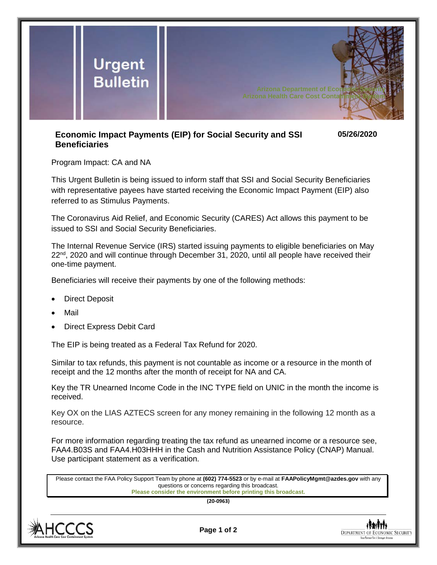

## **Economic Impact Payments (EIP) for Social Security and SSI Beneficiaries 05/26/2020**

Program Impact: CA and NA

This Urgent Bulletin is being issued to inform staff that SSI and Social Security Beneficiaries with representative payees have started receiving the Economic Impact Payment (EIP) also referred to as Stimulus Payments.

The Coronavirus Aid Relief, and Economic Security (CARES) Act allows this payment to be issued to SSI and Social Security Beneficiaries.

The Internal Revenue Service (IRS) started issuing payments to eligible beneficiaries on May 22<sup>nd</sup>, 2020 and will continue through December 31, 2020, until all people have received their one-time payment.

Beneficiaries will receive their payments by one of the following methods:

- Direct Deposit
- Mail
- Direct Express Debit Card

The EIP is being treated as a Federal Tax Refund for 2020.

Similar to tax refunds, this payment is not countable as income or a resource in the month of receipt and the 12 months after the month of receipt for NA and CA.

Key the TR Unearned Income Code in the INC TYPE field on UNIC in the month the income is received.

Key OX on the LIAS AZTECS screen for any money remaining in the following 12 month as a resource.

For more information regarding treating the tax refund as unearned income or a resource see, FAA4.B03S and FAA4.H03HHH in the Cash and Nutrition Assistance Policy (CNAP) Manual. Use participant statement as a verification.

Please contact the FAA Policy Support Team by phone at **(602) 774-5523** or by e-mail at **FAAPolicyMgmt@azdes.gov** with any questions or concerns regarding this broadcast. **Please consider the environment before printing this broadcast.**

**(20-0963)**